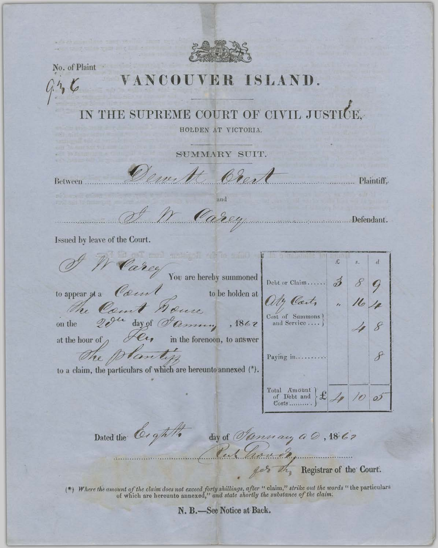

No. of Plaint

 $9.56$ 

## VER ISLAND.

PREME COURT OF CIVIL JUSTICE, SU

HOLDEN AT VICTORIA.

SUMMARY SUIT.

Bear Plaintiff. Between

and

Carey ............Defendant.

Issued by leave of the Court.

|                                                                |                                                            | $\mathcal{L}% _{G}=\mathcal{L}_{G}$ | $\mathcal{S}^{\mathcal{C}}$ | d             |
|----------------------------------------------------------------|------------------------------------------------------------|-------------------------------------|-----------------------------|---------------|
| Carey                                                          |                                                            |                                     |                             |               |
| You are hereby summoned                                        | Debt or Claim                                              | $\hat{\mathscr{D}}$                 |                             |               |
| Court<br>to appear at a<br>to be holden at                     |                                                            |                                     |                             |               |
|                                                                | 14 Cots                                                    |                                     |                             |               |
| The Count House<br>on the                                      | Cost of Summons<br>and Service                             |                                     |                             |               |
| at the hour of $\rho$<br>in the forenoon, to answer            |                                                            |                                     |                             |               |
|                                                                |                                                            |                                     |                             |               |
| The plantif                                                    | Paying in                                                  |                                     |                             | $\mathcal{S}$ |
| to a claim, the particulars of which are hereunto annexed (*). |                                                            |                                     |                             |               |
|                                                                |                                                            |                                     |                             |               |
|                                                                | Total Amount<br>of Debt and $\mathcal{L}_{\mathscr{P}}$ 10 |                                     |                             |               |
|                                                                |                                                            |                                     |                             |               |
| Dated the Coght                                                |                                                            |                                     |                             |               |
| day of <i>Omnay</i> $a \oslash$ , 1867                         |                                                            |                                     |                             |               |
| have de<br>SELVENCE CONDUCTING AVENUES.                        |                                                            |                                     |                             |               |

get the Registrar of the Court.

(\*) Where the amount of the claim does not exceed forty shillings, after "claim," strike out the words "the particulars of which are hereunto annexed," and state shortly the substance of the claim.

N. B.-See Notice at Back.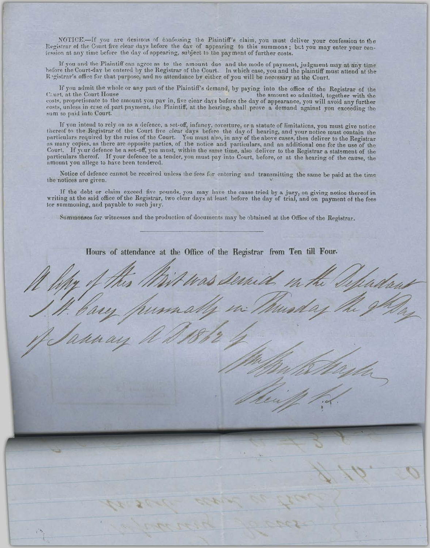NOTICE.-If you are desirous of confessing the Plaintiff's claim, you must deliver your confession to the Registrar of the Court five clear days before the day of appearing to this summons; but you may enter your conlession at any time before the day of appearing, subject to the payment of further costs.

If you and the Plaintiff can agree as to the amount due and the mode of payment, judgment may at any time before the Court-day be entered by the Registrar of the Court. In which case, you and the plaintiff must attend at the Registrar's office for that purpose, and no attendance by either of you will be necessary at the Court.

If you admit the whole or any part of the Plaintiff's demand, by paying into the office of the Registrar of the the amount so admitted, together with the Caurt, at the Court House costs, proportionate to the amount you pay in, five clear days before the day of appearance, you will avoid any further costs, unless in crse of part payment, the Plaintiff, at the hearing, shall prove a demand against you exceeding the sum so paid into Court.

If you intend to rely on as a defence, a set-off, infancy, coverture, or a statute of limitations, you must give notice<br>thereof to the Registrar of the Court five clear days before the day of hearing, and your notice must Court. If your defence be a set-off, you must, within the same time, also deliver to the Registrar a statement of the particulars thereof. If your defence be a tender, you must pay into Court, before, or at the hearing of the cause, the amount you allege to have been tendered.

Notice of defence cannot be received unless the fees for entering and transmitting the same be paid at the time the notices are given.

If the debt or claim exceed five pounds, you may have the cause tried by a jury, on giving notice thereof in writing at the said office of the Registrar, two clear days at least before the day of trial, and on payment of the fees for summoning, and payable to such jury.

Summonses for witnesses and the production of documents may be obtained at the Office of the Registrar.

Hours of attendance at the Office of the Registrar from Ten till Four.